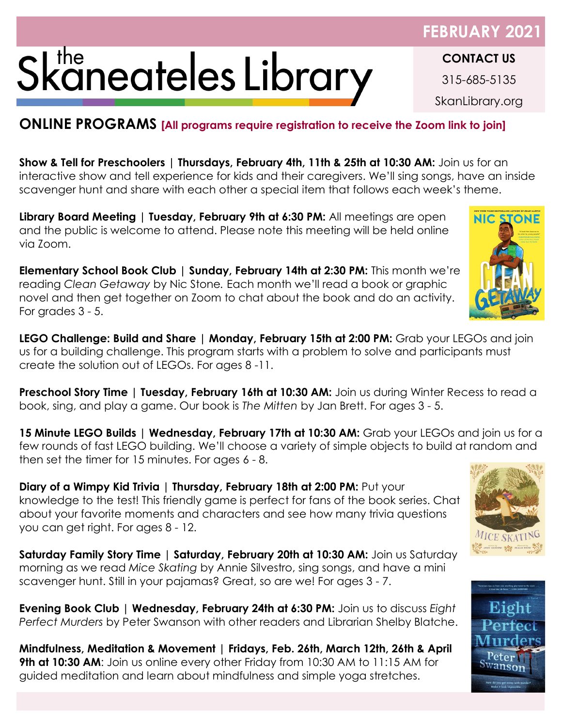## Skaneateles Library

## **ONLINE PROGRAMS [All programs require registration to receive the Zoom link to join]**

**Show & Tell for Preschoolers | Thursdays, February 4th, 11th & 25th at 10:30 AM:** Join us for an interactive show and tell experience for kids and their caregivers. We'll sing songs, have an inside scavenger hunt and share with each other a special item that follows each week's theme.

**Library Board Meeting | Tuesday, February 9th at 6:30 PM:** All meetings are open and the public is welcome to attend. Please note this meeting will be held online via Zoom.

**Elementary School Book Club | Sunday, February 14th at 2:30 PM:** This month we're reading *Clean Getaway* by Nic Stone*.* Each month we'll read a book or graphic novel and then get together on Zoom to chat about the book and do an activity. For grades 3 - 5.

**LEGO Challenge: Build and Share | Monday, February 15th at 2:00 PM:** Grab your LEGOs and join us for a building challenge. This program starts with a problem to solve and participants must create the solution out of LEGOs. For ages 8 -11.

Preschool Story Time | Tuesday, February 16th at 10:30 AM: Join us during Winter Recess to read a book, sing, and play a game. Our book is *The Mitten* by Jan Brett. For ages 3 - 5.

**15 Minute LEGO Builds | Wednesday, February 17th at 10:30 AM:** Grab your LEGOs and join us for a few rounds of fast LEGO building. We'll choose a variety of simple objects to build at random and then set the timer for 15 minutes. For ages 6 - 8.

**Diary of a Wimpy Kid Trivia | Thursday, February 18th at 2:00 PM: Put your** knowledge to the test! This friendly game is perfect for fans of the book series. Chat about your favorite moments and characters and see how many trivia questions you can get right. For ages 8 - 12.

**Saturday Family Story Time | Saturday, February 20th at 10:30 AM: Join us Saturday** morning as we read *Mice Skating* by Annie Silvestro, sing songs, and have a mini scavenger hunt. Still in your pajamas? Great, so are we! For ages 3 - 7.

**Evening Book Club | Wednesday, February 24th at 6:30 PM:** Join us to discuss *Eight Perfect Murders* by Peter Swanson with other readers and Librarian Shelby Blatche.

**Mindfulness, Meditation & Movement | Fridays, Feb. 26th, March 12th, 26th & April 9th at 10:30 AM:** Join us online every other Friday from 10:30 AM to 11:15 AM for guided meditation and learn about mindfulness and simple yoga stretches.



**NIC STONE** 





## **FEBRUARY 202**

**CONTACT US** 315-685-5135 SkanLibrary.org